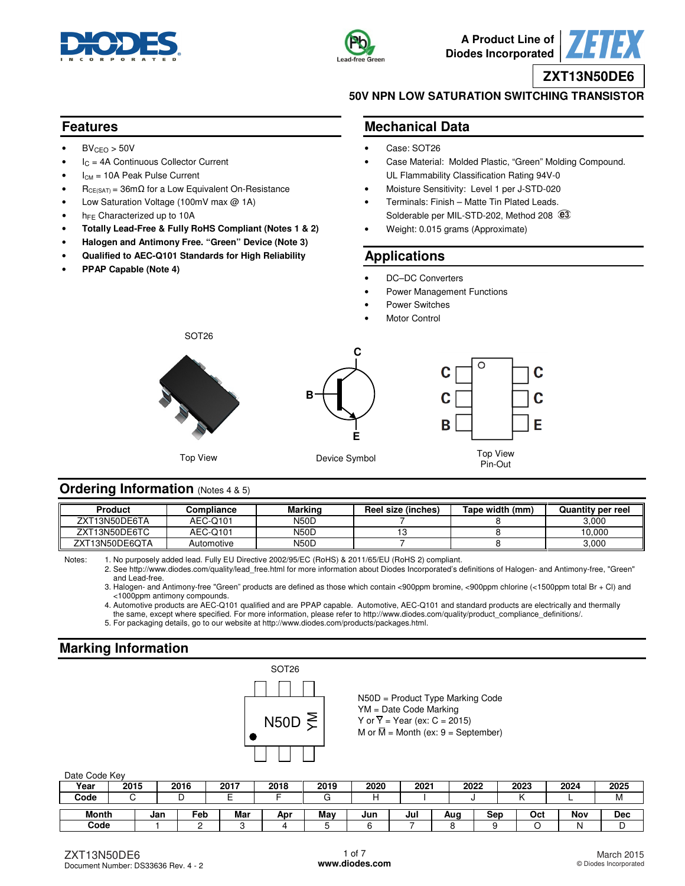



**A Product Line of Diodes Incorporated**

**ZXT13N50DE6**

### **50V NPN LOW SATURATION SWITCHING TRANSISTOR**

### **Features**

- $BV_{CEO} > 50V$
- $I_C = 4A$  Continuous Collector Current
- $I<sub>CM</sub> = 10A$  Peak Pulse Current
- $R_{CE(SAT)} = 36 \text{m}\Omega$  for a Low Equivalent On-Resistance
- Low Saturation Voltage (100mV max @ 1A)
- h<sub>FE</sub> Characterized up to 10A
- **Totally Lead-Free & Fully RoHS Compliant (Notes 1 & 2)**
- **Halogen and Antimony Free. "Green" Device (Note 3)**
- **Qualified to AEC-Q101 Standards for High Reliability**
- **PPAP Capable (Note 4)**

## **Mechanical Data**

- Case: SOT26
- Case Material: Molded Plastic, "Green" Molding Compound. UL Flammability Classification Rating 94V-0
- Moisture Sensitivity: Level 1 per J-STD-020
- Terminals: Finish Matte Tin Plated Leads. Solderable per MIL-STD-202, Method 208  $@3$
- Weight: 0.015 grams (Approximate)

## **Applications**

- DC-DC Converters
- Power Management Functions
- Power Switches
- **Motor Control**



## Pin-Out

C

C

F

## **Ordering Information** (Notes 4 & 5)

| Product        | $\mathsf{\color{myred}\mathsf{\color{myred}\mathsf{\color{myred}{\mathsf{c}}}c}$ | <b>Marking</b> | Reel size (inches) | Tape width (mm) | <b>Quantity per reel</b> |
|----------------|----------------------------------------------------------------------------------|----------------|--------------------|-----------------|--------------------------|
| ZXT13N50DE6TA  | AEC-Q101                                                                         | <b>N50D</b>    |                    |                 | 3.000                    |
| ZXT13N50DE6TC  | AEC-Q101                                                                         | <b>N50D</b>    |                    |                 | 10.000                   |
| ZXT13N50DE6OTA | Automotive                                                                       | <b>N50D</b>    |                    |                 | 3.000                    |

Notes: 1. No purposely added lead. Fully EU Directive 2002/95/EC (RoHS) & 2011/65/EU (RoHS 2) compliant.

 2. See [http://www.diodes.com/quality/lead\\_free.html fo](http://www.diodes.com/quality/lead_free.html)r more information about Diodes Incorporated's definitions of Halogen- and Antimony-free, "Green" and Lead-free.

 3. Halogen- and Antimony-free "Green" products are defined as those which contain <900ppm bromine, <900ppm chlorine (<1500ppm total Br + Cl) and <1000ppm antimony compounds.

4. Automotive products are AEC-Q101 qualified and are PPAP capable. Automotive, AEC-Q101 and standard products are electrically and thermally

the same, except where specified. For more information, please refer to [http://www.diodes.com/quality/product\\_compliance\\_definitions/.](http://www.diodes.com/quality/product_compliance_definitions/) 

5. For packaging details, go to our website at [http://www.diodes.com/products/packages.html.](http://www.diodes.com/products/packages.html) 

# **Marking Information**



N50D = Product Type Marking Code YM = Date Code Marking Y or  $\overline{Y}$  = Year (ex: C = 2015) M or  $\overline{M}$  = Month (ex: 9 = September)

#### Date Code Key

| 380   |      |     |      |      |      |      |      |         |      |     |      |      |            |
|-------|------|-----|------|------|------|------|------|---------|------|-----|------|------|------------|
| Year  | 2015 |     | 2016 | 2017 | 2018 | 2019 | 2020 | $202 -$ | 2022 |     | 2023 | 2024 | 2025       |
| Code  |      |     |      | -    |      |      |      |         |      |     |      |      | <b>IVI</b> |
|       |      |     |      |      |      |      |      |         |      |     |      |      |            |
| Month |      | Jan | Feb  | Mar  | Apr  | May  | Jun  | Jul     | Aug  | Sep | Oct  | Nov  | Dec        |
| Code  |      |     |      |      |      |      |      |         |      |     |      |      | ◡          |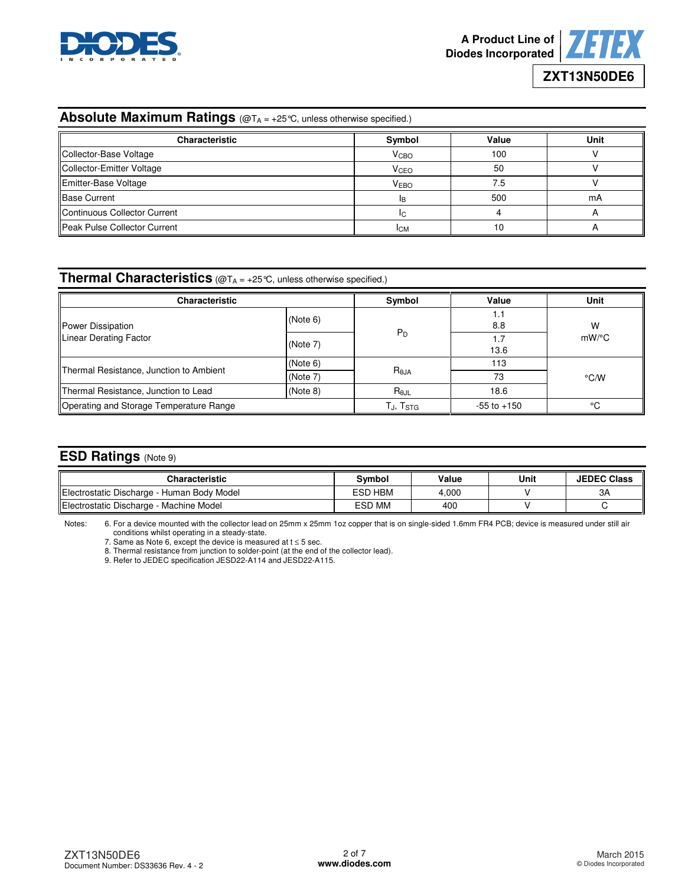



# Absolute Maximum Ratings (@TA = +25 °C, unless otherwise specified.)

| <b>Characteristic</b>        | Symbol                  | Value | Unit |
|------------------------------|-------------------------|-------|------|
| Collector-Base Voltage       | <b>V</b> <sub>CВО</sub> | 100   |      |
| Collector-Emitter Voltage    | <b>V</b> <sub>CEO</sub> | 50    |      |
| Emitter-Base Voltage         | <b>VEBO</b>             | 7.5   |      |
| <b>Base Current</b>          | IR.                     | 500   | mA   |
| Continuous Collector Current | IC.                     |       |      |
| Peak Pulse Collector Current | Iсм                     | 10    |      |

# **Thermal Characteristics** (@TA = +25°C, unless otherwise specified.)

| <b>Characteristic</b>                   |          | Symbol         | Value           | Unit          |  |
|-----------------------------------------|----------|----------------|-----------------|---------------|--|
| Power Dissipation                       | (Note 6) |                | 1.1<br>8.8      | W             |  |
| Linear Derating Factor                  | (Note 7) | $P_D$          | ۱.7<br>13.6     | $mW$ /°C      |  |
|                                         | (Note 6) |                | 113             |               |  |
| Thermal Resistance, Junction to Ambient | (Note 7) | $R_{\theta$ JA | 73              | $\degree$ C/W |  |
| Thermal Resistance, Junction to Lead    | (Note 8) | $R_{\theta$ JL | 18.6            |               |  |
| Operating and Storage Temperature Range |          | TJ, Tstg       | $-55$ to $+150$ | ۰c            |  |

# **ESD Ratings** (Note 9)

| <b>Characteristic</b>                      | Symbol         | Value | Unit | <b>JEDEC Class</b> |
|--------------------------------------------|----------------|-------|------|--------------------|
| Electrostatic Discharge - Human Body Model | <b>ESD HBM</b> | 4.000 |      | ЗΑ                 |
| Electrostatic Discharge - Machine Model    | <b>ESD MM</b>  | 400   |      |                    |

Notes: 6. For a device mounted with the collector lead on 25mm x 25mm 1oz copper that is on single-sided 1.6mm FR4 PCB; device is measured under still air conditions whilst operating in a steady-state.

7. Same as Note 6, except the device is measured at  $t \leq 5$  sec.

8. Thermal resistance from junction to solder-point (at the end of the collector lead).

9. Refer to JEDEC specification JESD22-A114 and JESD22-A115.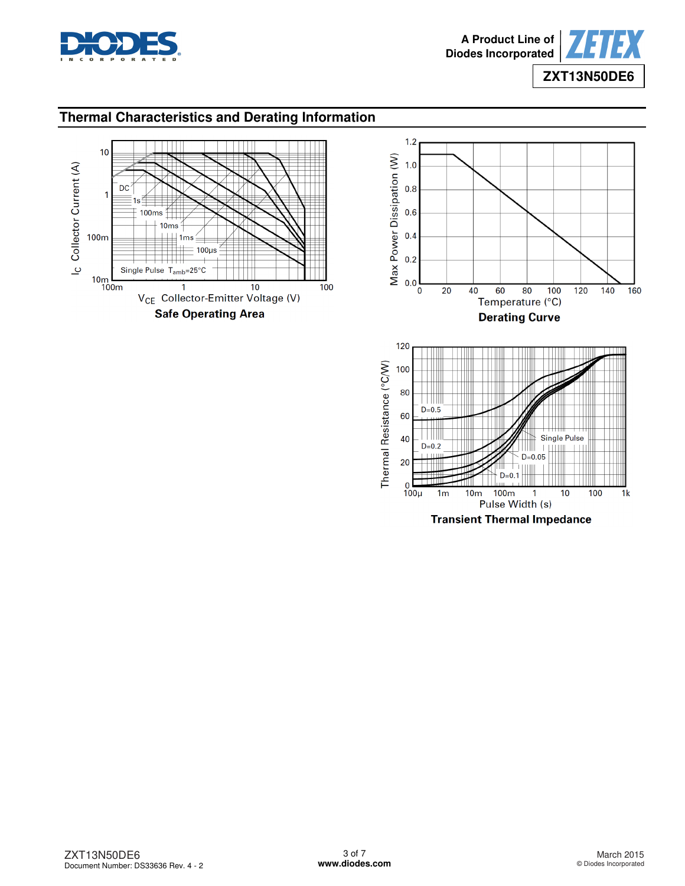

## **Thermal Characteristics and Derating Information**





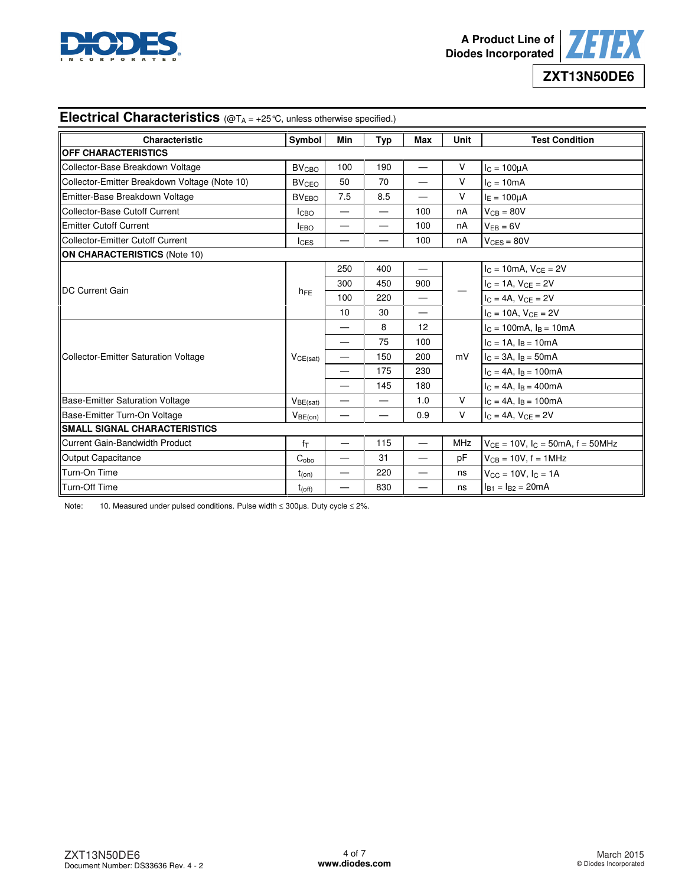



| <b>Electrical Characteristics</b> ( $@T_A = +25$ °C, unless otherwise specified.) |                         |                          |                          |                          |             |                                              |  |
|-----------------------------------------------------------------------------------|-------------------------|--------------------------|--------------------------|--------------------------|-------------|----------------------------------------------|--|
| Characteristic                                                                    | Symbol                  | Min                      | Typ                      | <b>Max</b>               | <b>Unit</b> | <b>Test Condition</b>                        |  |
| <b>OFF CHARACTERISTICS</b>                                                        |                         |                          |                          |                          |             |                                              |  |
| Collector-Base Breakdown Voltage                                                  | <b>BV<sub>CBO</sub></b> | 100                      | 190                      | —                        | $\vee$      | $I_C = 100 \mu A$                            |  |
| Collector-Emitter Breakdown Voltage (Note 10)                                     | <b>BV<sub>CEO</sub></b> | 50                       | 70                       |                          | $\vee$      | $c = 10mA$                                   |  |
| Emitter-Base Breakdown Voltage                                                    | BV <sub>EBO</sub>       | 7.5                      | 8.5                      | $\overline{\phantom{0}}$ | $\vee$      | $I_E = 100 \mu A$                            |  |
| Collector-Base Cutoff Current                                                     | <b>I</b> CBO            | $\overline{\phantom{0}}$ | $\overline{\phantom{0}}$ | 100                      | nA          | $V_{CB} = 80V$                               |  |
| <b>Emitter Cutoff Current</b>                                                     | <b>IEBO</b>             | $\qquad \qquad$          | $\overline{\phantom{0}}$ | 100                      | nA          | $V_{EB} = 6V$                                |  |
| <b>Collector-Emitter Cutoff Current</b>                                           | $I_{CES}$               | —                        | $\overline{\phantom{0}}$ | 100                      | nA          | $V_{CES} = 80V$                              |  |
| <b>ON CHARACTERISTICS (Note 10)</b>                                               |                         |                          |                          |                          |             |                                              |  |
|                                                                                   |                         | 250                      | 400                      | $\qquad \qquad -$        |             | $I_C = 10mA, V_{CE} = 2V$                    |  |
| <b>DC Current Gain</b>                                                            |                         | 300                      | 450                      | 900                      |             | $I_C = 1A, V_{CE} = 2V$                      |  |
|                                                                                   | $h_{FE}$                | 100                      | 220                      | $\overline{\phantom{0}}$ |             | $I_C = 4A$ , $V_{CE} = 2V$                   |  |
|                                                                                   |                         | 10                       | 30                       | —                        |             | $I_C = 10A, V_{CE} = 2V$                     |  |
|                                                                                   |                         | $\overline{\phantom{0}}$ | 8                        | 12                       | mV          | $I_C = 100 \text{mA}$ , $I_B = 10 \text{mA}$ |  |
|                                                                                   | VCE(sat)                | $\overline{\phantom{0}}$ | 75                       | 100                      |             | $I_C = 1A$ , $I_B = 10mA$                    |  |
| Collector-Emitter Saturation Voltage                                              |                         | $\qquad \qquad$          | 150                      | 200                      |             | $I_C = 3A$ , $I_B = 50mA$                    |  |
|                                                                                   |                         | $\qquad \qquad$          | 175                      | 230                      |             | $I_C = 4A$ , $I_B = 100mA$                   |  |
|                                                                                   |                         | —                        | 145                      | 180                      |             | $I_C = 4A$ , $I_B = 400mA$                   |  |
| Base-Emitter Saturation Voltage                                                   | $V_{BE(sat)}$           | —                        | —                        | 1.0                      | $\vee$      | $I_C = 4A$ , $I_B = 100mA$                   |  |
| Base-Emitter Turn-On Voltage                                                      | $V_{BE(on)}$            |                          | $\overline{\phantom{0}}$ | 0.9                      | $\vee$      | $I_C = 4A$ , $V_{CE} = 2V$                   |  |
| <b>SMALL SIGNAL CHARACTERISTICS</b>                                               |                         |                          |                          |                          |             |                                              |  |
| <b>Current Gain-Bandwidth Product</b>                                             | $f_T$                   |                          | 115                      | $\qquad \qquad -$        | <b>MHz</b>  | $V_{CE} = 10V$ , $I_C = 50mA$ , $f = 50MHz$  |  |
| <b>Output Capacitance</b>                                                         | $C_{\rm obo}$           | —                        | 31                       | $\overline{\phantom{0}}$ | pF          | $V_{CB} = 10V$ , f = 1MHz                    |  |
| Turn-On Time                                                                      | $t_{(on)}$              | —                        | 220                      | $\overline{\phantom{0}}$ | ns          | $V_{CC} = 10V, I_C = 1A$                     |  |
| Turn-Off Time                                                                     | $t_{(off)}$             |                          | 830                      | —                        | ns          | $I_{B1} = I_{B2} = 20mA$                     |  |

Note: 10. Measured under pulsed conditions. Pulse width ≤ 300µs. Duty cycle ≤ 2%.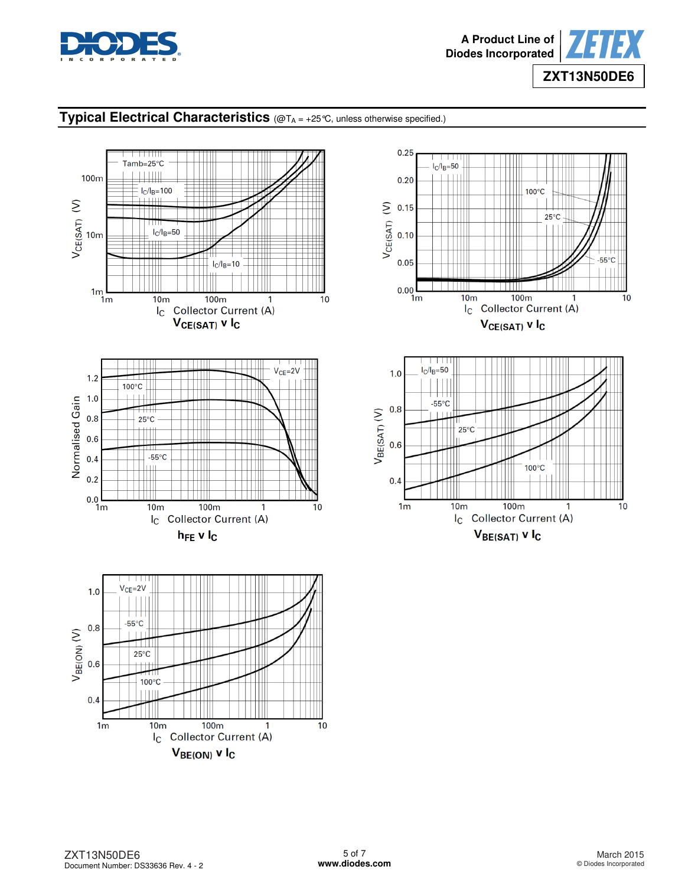

# **Typical Electrical Characteristics** (@TA = +25°C, unless otherwise specified.)





 $0.25$ 

 $V_{BE(SAT)}$  v  $I_C$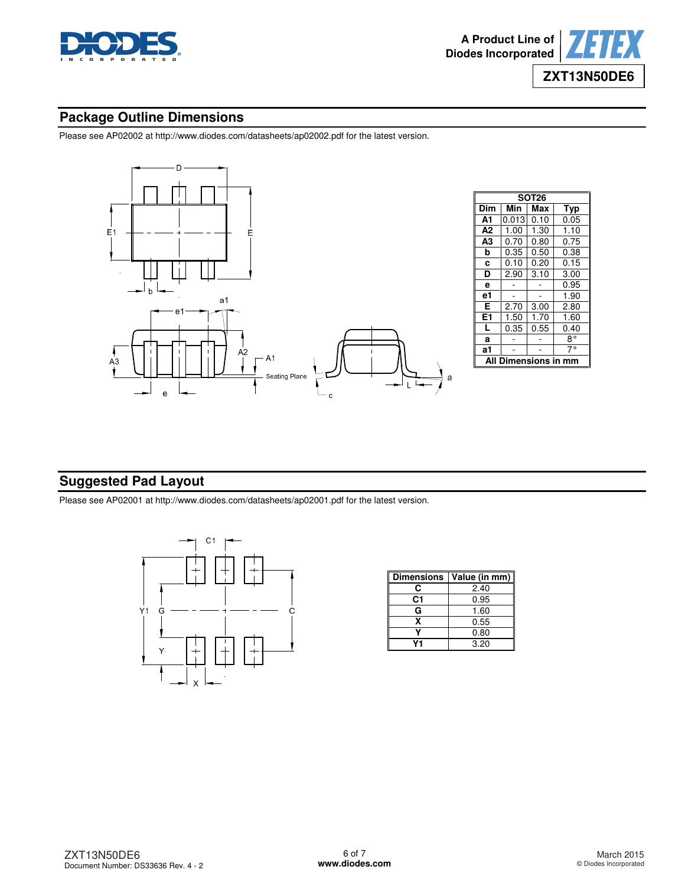

## **Package Outline Dimensions**

Please see AP02002 at [http://www.diodes.com/datasheets/ap02002.pdf fo](http://www.diodes.com/datasheets/ap02002.pdf)r the latest version.



## **Suggested Pad Layout**

Please see AP02001 at [http://www.diodes.com/datasheets/ap02001.pdf fo](http://www.diodes.com/datasheets/ap02001.pdf)r the latest version.



| <b>Dimensions</b> | Value (in mm) |
|-------------------|---------------|
| r.                | 2.40          |
| C1                | 0.95          |
| G                 | 1.60          |
| x                 | 0.55          |
|                   | 0.80          |
|                   | 3.20          |